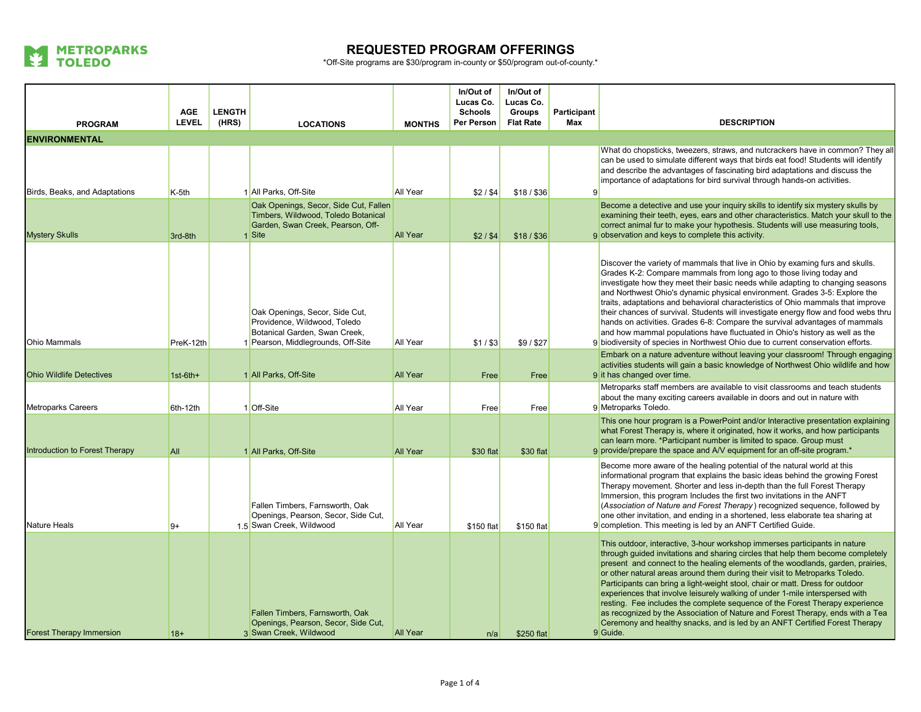

|                                 |                            |                        |                                                                                                                                       |                 | In/Out of<br>Lucas Co.       | In/Out of<br>Lucas Co.            |                    |                                                                                                                                                                                                                                                                                                                                                                                                                                                                                                                                                                                                                                                                                                                                                               |
|---------------------------------|----------------------------|------------------------|---------------------------------------------------------------------------------------------------------------------------------------|-----------------|------------------------------|-----------------------------------|--------------------|---------------------------------------------------------------------------------------------------------------------------------------------------------------------------------------------------------------------------------------------------------------------------------------------------------------------------------------------------------------------------------------------------------------------------------------------------------------------------------------------------------------------------------------------------------------------------------------------------------------------------------------------------------------------------------------------------------------------------------------------------------------|
| <b>PROGRAM</b>                  | <b>AGE</b><br><b>LEVEL</b> | <b>LENGTH</b><br>(HRS) | <b>LOCATIONS</b>                                                                                                                      | <b>MONTHS</b>   | <b>Schools</b><br>Per Person | <b>Groups</b><br><b>Flat Rate</b> | Participant<br>Max | <b>DESCRIPTION</b>                                                                                                                                                                                                                                                                                                                                                                                                                                                                                                                                                                                                                                                                                                                                            |
| <b>ENVIRONMENTAL</b>            |                            |                        |                                                                                                                                       |                 |                              |                                   |                    |                                                                                                                                                                                                                                                                                                                                                                                                                                                                                                                                                                                                                                                                                                                                                               |
| Birds, Beaks, and Adaptations   | K-5th                      |                        | 1 All Parks, Off-Site                                                                                                                 | All Year        | \$2/\$4                      | $$18/$ \$36                       | 9                  | What do chopsticks, tweezers, straws, and nutcrackers have in common? They all<br>can be used to simulate different ways that birds eat food! Students will identify<br>and describe the advantages of fascinating bird adaptations and discuss the<br>importance of adaptations for bird survival through hands-on activities.                                                                                                                                                                                                                                                                                                                                                                                                                               |
| <b>Mystery Skulls</b>           | 3rd-8th                    |                        | Oak Openings, Secor, Side Cut, Fallen<br>Timbers, Wildwood, Toledo Botanical<br>Garden, Swan Creek, Pearson, Off-<br>1 Site           | <b>All Year</b> | \$2/\$4                      | $$18/$ \$36                       |                    | Become a detective and use your inquiry skills to identify six mystery skulls by<br>examining their teeth, eyes, ears and other characteristics. Match your skull to the<br>correct animal fur to make your hypothesis. Students will use measuring tools,<br>9 observation and keys to complete this activity.                                                                                                                                                                                                                                                                                                                                                                                                                                               |
| <b>Ohio Mammals</b>             | PreK-12th                  |                        | Oak Openings, Secor, Side Cut,<br>Providence, Wildwood, Toledo<br>Botanical Garden, Swan Creek,<br>1 Pearson, Middlegrounds, Off-Site | <b>All Year</b> | $$1/$ \$3                    | \$9/\$27                          |                    | Discover the variety of mammals that live in Ohio by examing furs and skulls.<br>Grades K-2: Compare mammals from long ago to those living today and<br>investigate how they meet their basic needs while adapting to changing seasons<br>and Northwest Ohio's dynamic physical environment. Grades 3-5: Explore the<br>traits, adaptations and behavioral characteristics of Ohio mammals that improve<br>their chances of survival. Students will investigate energy flow and food webs thru<br>hands on activities. Grades 6-8: Compare the survival advantages of mammals<br>and how mammal populations have fluctuated in Ohio's history as well as the<br>9 biodiversity of species in Northwest Ohio due to current conservation efforts.              |
| <b>Ohio Wildlife Detectives</b> | $1st-6th+$                 |                        | 1 All Parks, Off-Site                                                                                                                 | All Year        | Free                         | Free                              |                    | Embark on a nature adventure without leaving your classroom! Through engaging<br>activities students will gain a basic knowledge of Northwest Ohio wildlife and how<br>9 it has changed over time.                                                                                                                                                                                                                                                                                                                                                                                                                                                                                                                                                            |
| <b>Metroparks Careers</b>       | 6th-12th                   |                        | 1 Off-Site                                                                                                                            | All Year        | Free                         | Free                              |                    | Metroparks staff members are available to visit classrooms and teach students<br>about the many exciting careers available in doors and out in nature with<br>9 Metroparks Toledo.                                                                                                                                                                                                                                                                                                                                                                                                                                                                                                                                                                            |
| Introduction to Forest Therapy  | All                        |                        | 1 All Parks, Off-Site                                                                                                                 | <b>All Year</b> | \$30 flat                    | \$30 flat                         |                    | This one hour program is a PowerPoint and/or Interactive presentation explaining<br>what Forest Therapy is, where it originated, how it works, and how participants<br>can learn more. *Participant number is limited to space. Group must<br>9 provide/prepare the space and A/V equipment for an off-site program.*                                                                                                                                                                                                                                                                                                                                                                                                                                         |
| Nature Heals                    | $9+$                       |                        | Fallen Timbers, Farnsworth, Oak<br>Openings, Pearson, Secor, Side Cut,<br>1.5 Swan Creek, Wildwood                                    | <b>All Year</b> | \$150 flat                   | \$150 flat                        |                    | Become more aware of the healing potential of the natural world at this<br>informational program that explains the basic ideas behind the growing Forest<br>Therapy movement. Shorter and less in-depth than the full Forest Therapy<br>Immersion, this program Includes the first two invitations in the ANFT<br>(Association of Nature and Forest Therapy) recognized sequence, followed by<br>one other invitation, and ending in a shortened, less elaborate tea sharing at<br>9 completion. This meeting is led by an ANFT Certified Guide.                                                                                                                                                                                                              |
| <b>Forest Therapy Immersion</b> | $18+$                      |                        | Fallen Timbers, Farnsworth, Oak<br>Openings, Pearson, Secor, Side Cut,<br>3 Swan Creek, Wildwood                                      | <b>All Year</b> | n/a                          | \$250 flat                        |                    | This outdoor, interactive, 3-hour workshop immerses participants in nature<br>through guided invitations and sharing circles that help them become completely<br>present and connect to the healing elements of the woodlands, garden, prairies,<br>or other natural areas around them during their visit to Metroparks Toledo.<br>Participants can bring a light-weight stool, chair or matt. Dress for outdoor<br>experiences that involve leisurely walking of under 1-mile interspersed with<br>resting. Fee includes the complete sequence of the Forest Therapy experience<br>as recognized by the Association of Nature and Forest Therapy, ends with a Tea<br>Ceremony and healthy snacks, and is led by an ANFT Certified Forest Therapy<br>9 Guide. |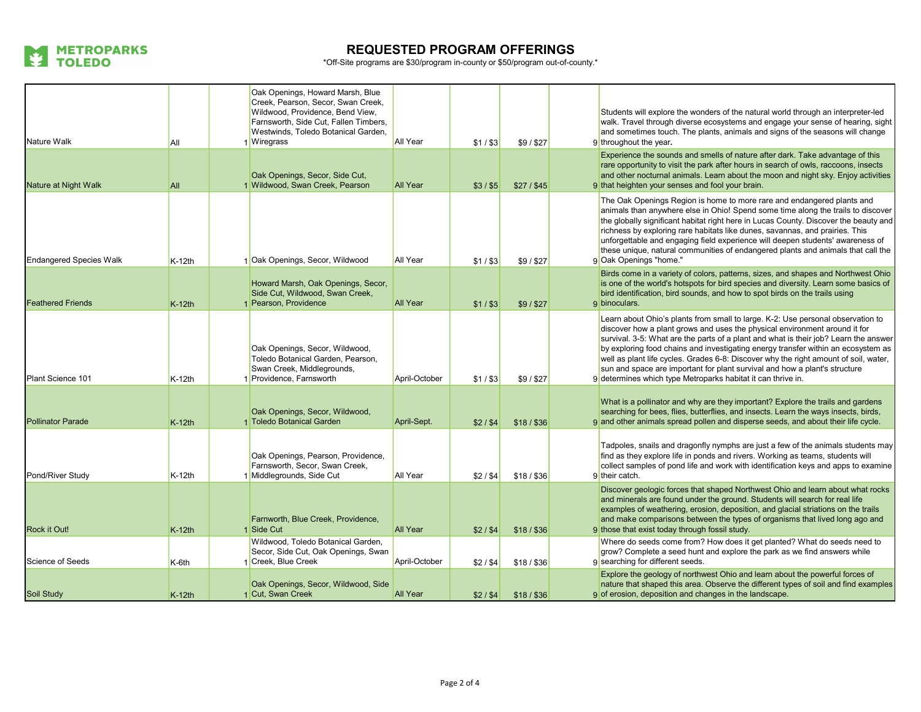

| Nature Walk                    | All      | Oak Openings, Howard Marsh, Blue<br>Creek, Pearson, Secor, Swan Creek,<br>Wildwood, Providence, Bend View,<br>Farnsworth, Side Cut, Fallen Timbers,<br>Westwinds, Toledo Botanical Garden,<br>I Wiregrass | All Year        | $$1/$ \$3 | \$9/\$27    | Students will explore the wonders of the natural world through an interpreter-led<br>walk. Travel through diverse ecosystems and engage your sense of hearing, sight<br>and sometimes touch. The plants, animals and signs of the seasons will change<br>9 throughout the year.                                                                                                                                                                                                                                                                                                  |
|--------------------------------|----------|-----------------------------------------------------------------------------------------------------------------------------------------------------------------------------------------------------------|-----------------|-----------|-------------|----------------------------------------------------------------------------------------------------------------------------------------------------------------------------------------------------------------------------------------------------------------------------------------------------------------------------------------------------------------------------------------------------------------------------------------------------------------------------------------------------------------------------------------------------------------------------------|
| Nature at Night Walk           | All      | Oak Openings, Secor, Side Cut,<br>1 Wildwood, Swan Creek, Pearson                                                                                                                                         | <b>All Year</b> | $$3/$ \$5 | $$27/$ \$45 | Experience the sounds and smells of nature after dark. Take advantage of this<br>rare opportunity to visit the park after hours in search of owls, raccoons, insects<br>and other nocturnal animals. Learn about the moon and night sky. Enjoy activities<br>9 that heighten your senses and fool your brain.                                                                                                                                                                                                                                                                    |
| <b>Endangered Species Walk</b> | K-12th   | 1 Oak Openings, Secor, Wildwood                                                                                                                                                                           | <b>All Year</b> | $$1/$ \$3 | \$9/\$27    | The Oak Openings Region is home to more rare and endangered plants and<br>animals than anywhere else in Ohio! Spend some time along the trails to discover<br>the globally significant habitat right here in Lucas County. Discover the beauty and<br>richness by exploring rare habitats like dunes, savannas, and prairies. This<br>unforgettable and engaging field experience will deepen students' awareness of<br>these unique, natural communities of endangered plants and animals that call the<br>9 Oak Openings "home."                                               |
| <b>Feathered Friends</b>       | $K-12th$ | Howard Marsh, Oak Openings, Secor,<br>Side Cut, Wildwood, Swan Creek,<br>Pearson, Providence                                                                                                              | <b>All Year</b> | $$1/$ \$3 | \$9/\$27    | Birds come in a variety of colors, patterns, sizes, and shapes and Northwest Ohio<br>is one of the world's hotspots for bird species and diversity. Learn some basics of<br>bird identification, bird sounds, and how to spot birds on the trails using<br>9 binoculars.                                                                                                                                                                                                                                                                                                         |
| Plant Science 101              | K-12th   | Oak Openings, Secor, Wildwood,<br>Toledo Botanical Garden, Pearson,<br>Swan Creek, Middlegrounds,<br>1 Providence, Farnsworth                                                                             | April-October   | $$1/$ \$3 | \$9/\$27    | Learn about Ohio's plants from small to large. K-2: Use personal observation to<br>discover how a plant grows and uses the physical environment around it for<br>survival. 3-5: What are the parts of a plant and what is their job? Learn the answer<br>by exploring food chains and investigating energy transfer within an ecosystem as<br>well as plant life cycles. Grades 6-8: Discover why the right amount of soil, water,<br>sun and space are important for plant survival and how a plant's structure<br>9 determines which type Metroparks habitat it can thrive in. |
| <b>Pollinator Parade</b>       | $K-12th$ | Oak Openings, Secor, Wildwood,<br>1 Toledo Botanical Garden                                                                                                                                               | April-Sept.     | \$2/\$4   | $$18/$ \$36 | What is a pollinator and why are they important? Explore the trails and gardens<br>searching for bees, flies, butterflies, and insects. Learn the ways insects, birds,<br>9 and other animals spread pollen and disperse seeds, and about their life cycle.                                                                                                                                                                                                                                                                                                                      |
| Pond/River Study               | K-12th   | Oak Openings, Pearson, Providence,<br>Farnsworth, Secor, Swan Creek,<br>Middlegrounds, Side Cut                                                                                                           | All Year        | \$2/\$4   | $$18/$ \$36 | Tadpoles, snails and dragonfly nymphs are just a few of the animals students may<br>find as they explore life in ponds and rivers. Working as teams, students will<br>collect samples of pond life and work with identification keys and apps to examine<br>9 their catch.                                                                                                                                                                                                                                                                                                       |
| Rock it Out!                   | $K-12th$ | Farnworth, Blue Creek, Providence,<br>1 Side Cut                                                                                                                                                          | <b>All Year</b> | $$2/$ \$4 | $$18/$ \$36 | Discover geologic forces that shaped Northwest Ohio and learn about what rocks<br>and minerals are found under the ground. Students will search for real life<br>examples of weathering, erosion, deposition, and glacial striations on the trails<br>and make comparisons between the types of organisms that lived long ago and<br>9 those that exist today through fossil study.                                                                                                                                                                                              |
| Science of Seeds               | K-6th    | Wildwood, Toledo Botanical Garden,<br>Secor, Side Cut, Oak Openings, Swan<br>Creek, Blue Creek                                                                                                            | April-October   | \$2/\$4   | $$18/$ \$36 | Where do seeds come from? How does it get planted? What do seeds need to<br>grow? Complete a seed hunt and explore the park as we find answers while<br>9 searching for different seeds.                                                                                                                                                                                                                                                                                                                                                                                         |
| Soil Study                     | $K-12th$ | Oak Openings, Secor, Wildwood, Side<br>1 Cut, Swan Creek                                                                                                                                                  | <b>All Year</b> | \$2/\$4   | $$18/$ \$36 | Explore the geology of northwest Ohio and learn about the powerful forces of<br>nature that shaped this area. Observe the different types of soil and find examples<br>9 of erosion, deposition and changes in the landscape.                                                                                                                                                                                                                                                                                                                                                    |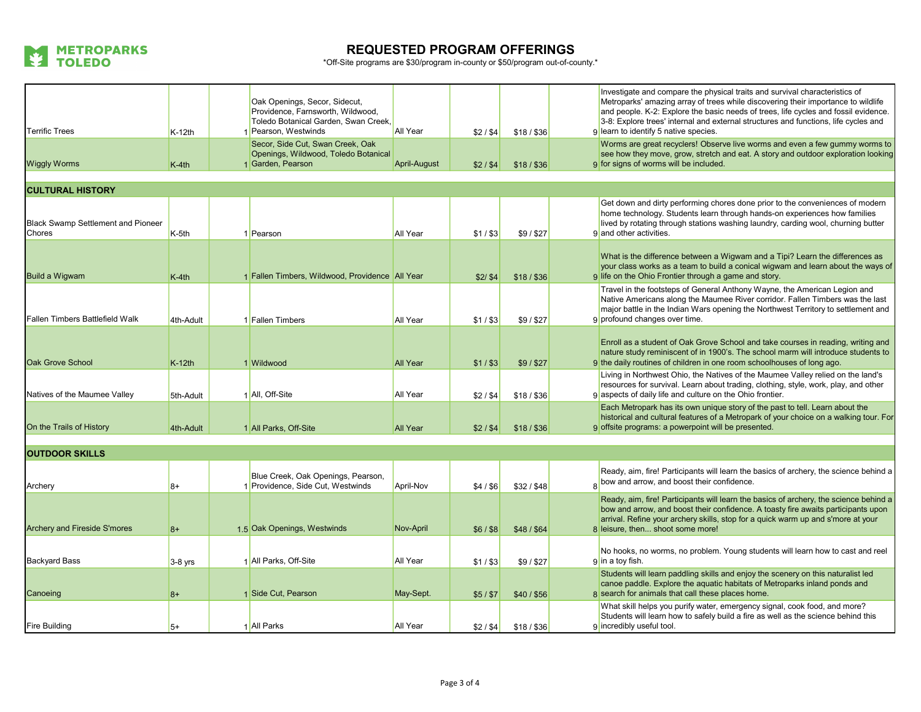

| <b>Terrific Trees</b>                        | K-12th    | Oak Openings, Secor, Sidecut,<br>Providence, Farnsworth, Wildwood,<br>Toledo Botanical Garden, Swan Creek,<br>1 Pearson, Westwinds | All Year            | \$2/\$4   | $$18/$ \$36 | Investigate and compare the physical traits and survival characteristics of<br>Metroparks' amazing array of trees while discovering their importance to wildlife<br>and people. K-2: Explore the basic needs of trees, life cycles and fossil evidence.<br>3-8: Explore trees' internal and external structures and functions, life cycles and<br>9 learn to identify 5 native species. |
|----------------------------------------------|-----------|------------------------------------------------------------------------------------------------------------------------------------|---------------------|-----------|-------------|-----------------------------------------------------------------------------------------------------------------------------------------------------------------------------------------------------------------------------------------------------------------------------------------------------------------------------------------------------------------------------------------|
| <b>Wiggly Worms</b>                          | $K-4th$   | Secor, Side Cut, Swan Creek, Oak<br>Openings, Wildwood, Toledo Botanical<br>1 Garden, Pearson                                      | <b>April-August</b> | \$2/\$4   | $$18/$ \$36 | Worms are great recyclers! Observe live worms and even a few gummy worms to<br>see how they move, grow, stretch and eat. A story and outdoor exploration looking<br>9 for signs of worms will be included.                                                                                                                                                                              |
| <b>CULTURAL HISTORY</b>                      |           |                                                                                                                                    |                     |           |             |                                                                                                                                                                                                                                                                                                                                                                                         |
| Black Swamp Settlement and Pioneer<br>Chores | K-5th     | 1 Pearson                                                                                                                          | All Year            | $$1/$ \$3 | \$9/\$27    | Get down and dirty performing chores done prior to the conveniences of modern<br>home technology. Students learn through hands-on experiences how families<br>lived by rotating through stations washing laundry, carding wool, churning butter<br>9 and other activities.                                                                                                              |
| Build a Wigwam                               | K-4th     | 1 Fallen Timbers, Wildwood, Providence All Year                                                                                    |                     | \$2/ \$4  | $$18/$ \$36 | What is the difference between a Wigwam and a Tipi? Learn the differences as<br>your class works as a team to build a conical wigwam and learn about the ways of<br>9 life on the Ohio Frontier through a game and story.                                                                                                                                                               |
| Fallen Timbers Battlefield Walk              | 4th-Adult | 1 Fallen Timbers                                                                                                                   | All Year            | $$1/$ \$3 | \$9/\$27    | Travel in the footsteps of General Anthony Wayne, the American Legion and<br>Native Americans along the Maumee River corridor. Fallen Timbers was the last<br>major battle in the Indian Wars opening the Northwest Territory to settlement and<br>9 profound changes over time.                                                                                                        |
| <b>Oak Grove School</b>                      | $K-12th$  | 1 Wildwood                                                                                                                         | <b>All Year</b>     | $$1/$ \$3 | \$9/\$27    | Enroll as a student of Oak Grove School and take courses in reading, writing and<br>nature study reminiscent of in 1900's. The school marm will introduce students to<br>9 the daily routines of children in one room schoolhouses of long ago.                                                                                                                                         |
| Natives of the Maumee Valley                 | 5th-Adult | 1 All, Off-Site                                                                                                                    | All Year            | \$2/\$4   | $$18/$ \$36 | Living in Northwest Ohio, the Natives of the Maumee Valley relied on the land's<br>resources for survival. Learn about trading, clothing, style, work, play, and other<br>9 aspects of daily life and culture on the Ohio frontier.                                                                                                                                                     |
| On the Trails of History                     | 4th-Adult | 1 All Parks, Off-Site                                                                                                              | <b>All Year</b>     | $$2/$ \$4 | $$18/$ \$36 | Each Metropark has its own unique story of the past to tell. Learn about the<br>historical and cultural features of a Metropark of your choice on a walking tour. For<br>9 offsite programs: a powerpoint will be presented.                                                                                                                                                            |
|                                              |           |                                                                                                                                    |                     |           |             |                                                                                                                                                                                                                                                                                                                                                                                         |
| <b>OUTDOOR SKILLS</b>                        |           |                                                                                                                                    |                     |           |             |                                                                                                                                                                                                                                                                                                                                                                                         |
| Archery                                      | $8+$      | Blue Creek, Oak Openings, Pearson,<br>1 Providence, Side Cut, Westwinds                                                            | April-Nov           | \$4/\$6   | \$32/\$48   | Ready, aim, fire! Participants will learn the basics of archery, the science behind a<br>bow and arrow, and boost their confidence.                                                                                                                                                                                                                                                     |
| <b>Archery and Fireside S'mores</b>          | $8+$      | 1.5 Oak Openings, Westwinds                                                                                                        | Nov-April           | $$6/$ \$8 | \$48/\$64   | Ready, aim, fire! Participants will learn the basics of archery, the science behind a<br>bow and arrow, and boost their confidence. A toasty fire awaits participants upon<br>arrival. Refine your archery skills, stop for a quick warm up and s'more at your<br>8 leisure, then shoot some more!                                                                                      |
| <b>Backyard Bass</b>                         | 3-8 yrs   | 1 All Parks, Off-Site                                                                                                              | All Year            | $$1/$ \$3 | \$9/\$27    | No hooks, no worms, no problem. Young students will learn how to cast and reel<br>9 in a toy fish.                                                                                                                                                                                                                                                                                      |
| Canoeing                                     | $8+$      | 1 Side Cut, Pearson                                                                                                                | May-Sept.           | $$5/$ \$7 | \$40/\$56   | Students will learn paddling skills and enjoy the scenery on this naturalist led<br>canoe paddle. Explore the aquatic habitats of Metroparks inland ponds and<br>8 search for animals that call these places home.                                                                                                                                                                      |
| <b>Fire Building</b>                         | $5+$      | 1 All Parks                                                                                                                        | All Year            | \$2/\$4   | $$18/$ \$36 | What skill helps you purify water, emergency signal, cook food, and more?<br>Students will learn how to safely build a fire as well as the science behind this<br>9 incredibly useful tool.                                                                                                                                                                                             |